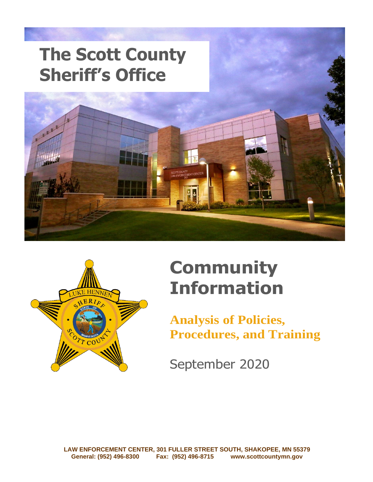



# **Community Information**

**Analysis of Policies, Procedures, and Training**

September 2020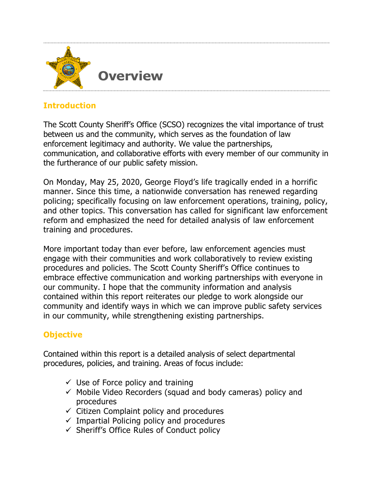

# **Introduction**

The Scott County Sheriff's Office (SCSO) recognizes the vital importance of trust between us and the community, which serves as the foundation of law enforcement legitimacy and authority. We value the partnerships, communication, and collaborative efforts with every member of our community in the furtherance of our public safety mission.

On Monday, May 25, 2020, George Floyd's life tragically ended in a horrific manner. Since this time, a nationwide conversation has renewed regarding policing; specifically focusing on law enforcement operations, training, policy, and other topics. This conversation has called for significant law enforcement reform and emphasized the need for detailed analysis of law enforcement training and procedures.

More important today than ever before, law enforcement agencies must engage with their communities and work collaboratively to review existing procedures and policies. The Scott County Sheriff's Office continues to embrace effective communication and working partnerships with everyone in our community. I hope that the community information and analysis contained within this report reiterates our pledge to work alongside our community and identify ways in which we can improve public safety services in our community, while strengthening existing partnerships.

# **Objective**

Contained within this report is a detailed analysis of select departmental procedures, policies, and training. Areas of focus include:

- $\checkmark$  Use of Force policy and training
- ✓ Mobile Video Recorders (squad and body cameras) policy and procedures
- $\checkmark$  Citizen Complaint policy and procedures
- $\checkmark$  Impartial Policing policy and procedures
- ✓ Sheriff's Office Rules of Conduct policy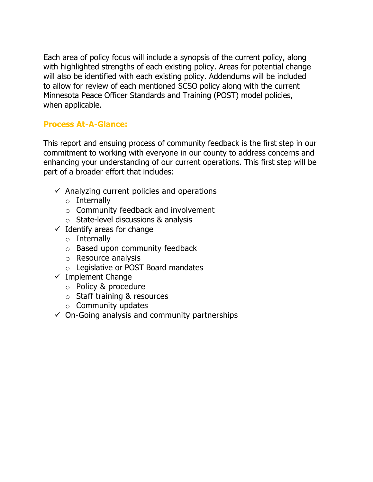Each area of policy focus will include a synopsis of the current policy, along with highlighted strengths of each existing policy. Areas for potential change will also be identified with each existing policy. Addendums will be included to allow for review of each mentioned SCSO policy along with the current Minnesota Peace Officer Standards and Training (POST) model policies, when applicable.

#### **Process At-A-Glance:**

This report and ensuing process of community feedback is the first step in our commitment to working with everyone in our county to address concerns and enhancing your understanding of our current operations. This first step will be part of a broader effort that includes:

- $\checkmark$  Analyzing current policies and operations
	- o Internally
	- o Community feedback and involvement
	- o State-level discussions & analysis
- $\checkmark$  Identify areas for change
	- o Internally
	- o Based upon community feedback
	- o Resource analysis
	- o Legislative or POST Board mandates
- $\checkmark$  Implement Change
	- o Policy & procedure
	- o Staff training & resources
	- $\circ$  Community updates
- $\checkmark$  On-Going analysis and community partnerships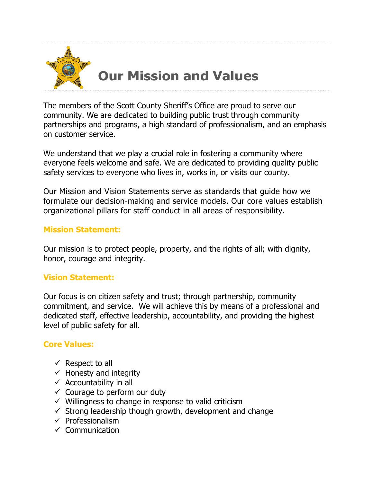

# **Our Mission and Values**

The members of the Scott County Sheriff's Office are proud to serve our community. We are dedicated to building public trust through community partnerships and programs, a high standard of professionalism, and an emphasis on customer service.

We understand that we play a crucial role in fostering a community where everyone feels welcome and safe. We are dedicated to providing quality public safety services to everyone who lives in, works in, or visits our county.

Our Mission and Vision Statements serve as standards that guide how we formulate our decision-making and service models. Our core values establish organizational pillars for staff conduct in all areas of responsibility.

#### **Mission Statement:**

Our mission is to protect people, property, and the rights of all; with dignity, honor, courage and integrity.

## **Vision Statement:**

Our focus is on citizen safety and trust; through partnership, community commitment, and service. We will achieve this by means of a professional and dedicated staff, effective leadership, accountability, and providing the highest level of public safety for all.

#### **Core Values:**

- $\checkmark$  Respect to all
- $\checkmark$  Honesty and integrity
- $\checkmark$  Accountability in all
- $\checkmark$  Courage to perform our duty
- $\checkmark$  Willingness to change in response to valid criticism
- $\checkmark$  Strong leadership though growth, development and change
- $\checkmark$  Professionalism
- ✓ Communication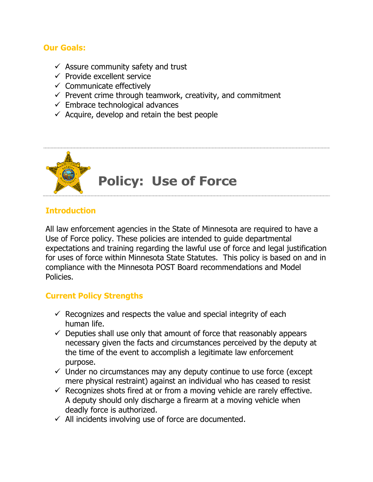#### **Our Goals:**

- $\checkmark$  Assure community safety and trust
- $\checkmark$  Provide excellent service
- $\checkmark$  Communicate effectively
- $\checkmark$  Prevent crime through teamwork, creativity, and commitment
- $\checkmark$  Embrace technological advances
- $\checkmark$  Acquire, develop and retain the best people



## **Introduction**

All law enforcement agencies in the State of Minnesota are required to have a Use of Force policy. These policies are intended to guide departmental expectations and training regarding the lawful use of force and legal justification for uses of force within Minnesota State Statutes. This policy is based on and in compliance with the Minnesota POST Board recommendations and Model Policies.

## **Current Policy Strengths**

- $\checkmark$  Recognizes and respects the value and special integrity of each human life.
- $\checkmark$  Deputies shall use only that amount of force that reasonably appears necessary given the facts and circumstances perceived by the deputy at the time of the event to accomplish a legitimate law enforcement purpose.
- $\checkmark$  Under no circumstances may any deputy continue to use force (except mere physical restraint) against an individual who has ceased to resist
- $\checkmark$  Recognizes shots fired at or from a moving vehicle are rarely effective. A deputy should only discharge a firearm at a moving vehicle when deadly force is authorized.
- $\checkmark$  All incidents involving use of force are documented.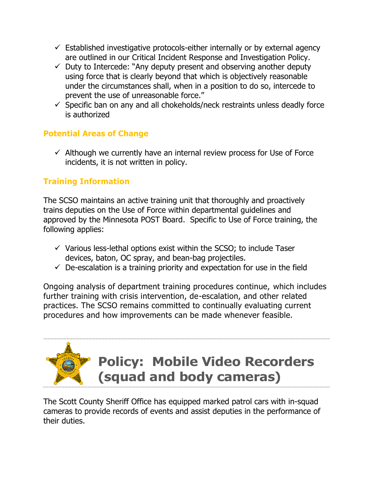- $\checkmark$  Established investigative protocols-either internally or by external agency are outlined in our Critical Incident Response and Investigation Policy.
- $\checkmark$  Duty to Intercede: "Any deputy present and observing another deputy using force that is clearly beyond that which is objectively reasonable under the circumstances shall, when in a position to do so, intercede to prevent the use of unreasonable force."
- $\checkmark$  Specific ban on any and all chokeholds/neck restraints unless deadly force is authorized

# **Potential Areas of Change**

 $\checkmark$  Although we currently have an internal review process for Use of Force incidents, it is not written in policy.

# **Training Information**

The SCSO maintains an active training unit that thoroughly and proactively trains deputies on the Use of Force within departmental guidelines and approved by the Minnesota POST Board. Specific to Use of Force training, the following applies:

- $\checkmark$  Various less-lethal options exist within the SCSO; to include Taser devices, baton, OC spray, and bean-bag projectiles.
- $\checkmark$  De-escalation is a training priority and expectation for use in the field

Ongoing analysis of department training procedures continue, which includes further training with crisis intervention, de-escalation, and other related practices. The SCSO remains committed to continually evaluating current procedures and how improvements can be made whenever feasible.

# **Policy: Mobile Video Recorders (squad and body cameras)**

The Scott County Sheriff Office has equipped marked patrol cars with in-squad cameras to provide records of events and assist deputies in the performance of their duties.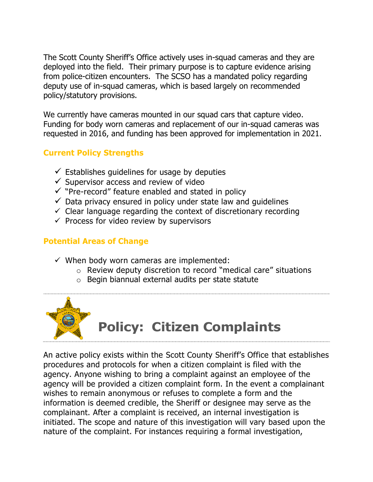The Scott County Sheriff's Office actively uses in-squad cameras and they are deployed into the field. Their primary purpose is to capture evidence arising from police-citizen encounters. The SCSO has a mandated policy regarding deputy use of in-squad cameras, which is based largely on recommended policy/statutory provisions.

We currently have cameras mounted in our squad cars that capture video. Funding for body worn cameras and replacement of our in-squad cameras was requested in 2016, and funding has been approved for implementation in 2021.

## **Current Policy Strengths**

- $\checkmark$  Establishes quidelines for usage by deputies
- $\checkmark$  Supervisor access and review of video
- ✓ "Pre-record" feature enabled and stated in policy
- $\checkmark$  Data privacy ensured in policy under state law and quidelines
- $\checkmark$  Clear language regarding the context of discretionary recording
- $\checkmark$  Process for video review by supervisors

# **Potential Areas of Change**

- $\checkmark$  When body worn cameras are implemented:
	- o Review deputy discretion to record "medical care" situations
	- o Begin biannual external audits per state statute



An active policy exists within the Scott County Sheriff's Office that establishes procedures and protocols for when a citizen complaint is filed with the agency. Anyone wishing to bring a complaint against an employee of the agency will be provided a citizen complaint form. In the event a complainant wishes to remain anonymous or refuses to complete a form and the information is deemed credible, the Sheriff or designee may serve as the complainant. After a complaint is received, an internal investigation is initiated. The scope and nature of this investigation will vary based upon the nature of the complaint. For instances requiring a formal investigation,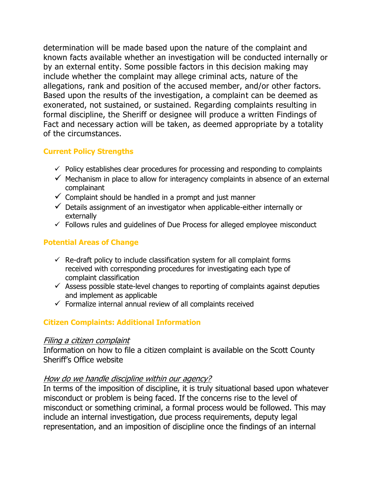determination will be made based upon the nature of the complaint and known facts available whether an investigation will be conducted internally or by an external entity. Some possible factors in this decision making may include whether the complaint may allege criminal acts, nature of the allegations, rank and position of the accused member, and/or other factors. Based upon the results of the investigation, a complaint can be deemed as exonerated, not sustained, or sustained. Regarding complaints resulting in formal discipline, the Sheriff or designee will produce a written Findings of Fact and necessary action will be taken, as deemed appropriate by a totality of the circumstances.

#### **Current Policy Strengths**

- $\checkmark$  Policy establishes clear procedures for processing and responding to complaints
- $\checkmark$  Mechanism in place to allow for interagency complaints in absence of an external complainant
- $\checkmark$  Complaint should be handled in a prompt and just manner
- $\checkmark$  Details assignment of an investigator when applicable-either internally or externally
- $\checkmark$  Follows rules and quidelines of Due Process for alleged employee misconduct

#### **Potential Areas of Change**

- $\checkmark$  Re-draft policy to include classification system for all complaint forms received with corresponding procedures for investigating each type of complaint classification
- $\checkmark$  Assess possible state-level changes to reporting of complaints against deputies and implement as applicable
- $\checkmark$  Formalize internal annual review of all complaints received

## **Citizen Complaints: Additional Information**

#### Filing a citizen complaint

Information on how to file a citizen complaint is available on the Scott County Sheriff's Office website

## How do we handle discipline within our agency?

In terms of the imposition of discipline, it is truly situational based upon whatever misconduct or problem is being faced. If the concerns rise to the level of misconduct or something criminal, a formal process would be followed. This may include an internal investigation, due process requirements, deputy legal representation, and an imposition of discipline once the findings of an internal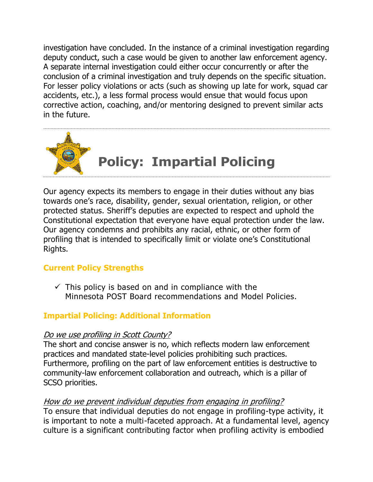investigation have concluded. In the instance of a criminal investigation regarding deputy conduct, such a case would be given to another law enforcement agency. A separate internal investigation could either occur concurrently or after the conclusion of a criminal investigation and truly depends on the specific situation. For lesser policy violations or acts (such as showing up late for work, squad car accidents, etc.), a less formal process would ensue that would focus upon corrective action, coaching, and/or mentoring designed to prevent similar acts in the future.



Our agency expects its members to engage in their duties without any bias towards one's race, disability, gender, sexual orientation, religion, or other protected status. Sheriff's deputies are expected to respect and uphold the Constitutional expectation that everyone have equal protection under the law. Our agency condemns and prohibits any racial, ethnic, or other form of profiling that is intended to specifically limit or violate one's Constitutional Rights.

## **Current Policy Strengths**

 $\checkmark$  This policy is based on and in compliance with the Minnesota POST Board recommendations and Model Policies.

## **Impartial Policing: Additional Information**

#### Do we use profiling in Scott County?

The short and concise answer is no, which reflects modern law enforcement practices and mandated state-level policies prohibiting such practices. Furthermore, profiling on the part of law enforcement entities is destructive to community-law enforcement collaboration and outreach, which is a pillar of SCSO priorities.

#### How do we prevent individual deputies from engaging in profiling?

To ensure that individual deputies do not engage in profiling-type activity, it is important to note a multi-faceted approach. At a fundamental level, agency culture is a significant contributing factor when profiling activity is embodied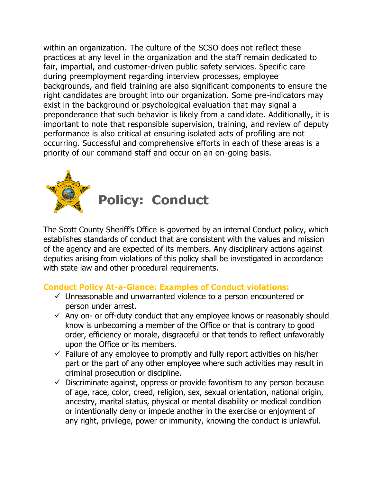within an organization. The culture of the SCSO does not reflect these practices at any level in the organization and the staff remain dedicated to fair, impartial, and customer-driven public safety services. Specific care during preemployment regarding interview processes, employee backgrounds, and field training are also significant components to ensure the right candidates are brought into our organization. Some pre-indicators may exist in the background or psychological evaluation that may signal a preponderance that such behavior is likely from a candidate. Additionally, it is important to note that responsible supervision, training, and review of deputy performance is also critical at ensuring isolated acts of profiling are not occurring. Successful and comprehensive efforts in each of these areas is a priority of our command staff and occur on an on-going basis.



The Scott County Sheriff's Office is governed by an internal Conduct policy, which establishes standards of conduct that are consistent with the values and mission of the agency and are expected of its members. Any disciplinary actions against deputies arising from violations of this policy shall be investigated in accordance with state law and other procedural requirements.

# **Conduct Policy At-a-Glance: Examples of Conduct violations:**

- $\checkmark$  Unreasonable and unwarranted violence to a person encountered or person under arrest.
- $\checkmark$  Any on- or off-duty conduct that any employee knows or reasonably should know is unbecoming a member of the Office or that is contrary to good order, efficiency or morale, disgraceful or that tends to reflect unfavorably upon the Office or its members.
- $\checkmark$  Failure of any employee to promptly and fully report activities on his/her part or the part of any other employee where such activities may result in criminal prosecution or discipline.
- $\checkmark$  Discriminate against, oppress or provide favoritism to any person because of age, race, color, creed, religion, sex, sexual orientation, national origin, ancestry, marital status, physical or mental disability or medical condition or intentionally deny or impede another in the exercise or enjoyment of any right, privilege, power or immunity, knowing the conduct is unlawful.